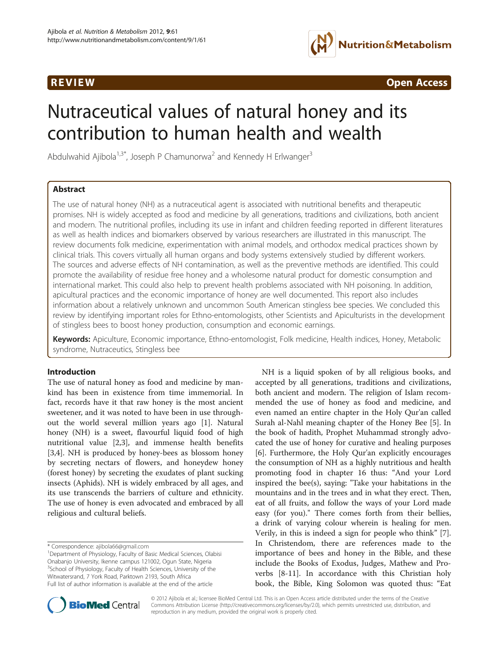

**REVIEW CONSULTANT CONTROL** 

# Nutraceutical values of natural honey and its contribution to human health and wealth

Abdulwahid Ajibola<sup>1,3\*</sup>, Joseph P Chamunorwa<sup>2</sup> and Kennedy H Erlwanger<sup>3</sup>

# Abstract

The use of natural honey (NH) as a nutraceutical agent is associated with nutritional benefits and therapeutic promises. NH is widely accepted as food and medicine by all generations, traditions and civilizations, both ancient and modern. The nutritional profiles, including its use in infant and children feeding reported in different literatures as well as health indices and biomarkers observed by various researchers are illustrated in this manuscript. The review documents folk medicine, experimentation with animal models, and orthodox medical practices shown by clinical trials. This covers virtually all human organs and body systems extensively studied by different workers. The sources and adverse effects of NH contamination, as well as the preventive methods are identified. This could promote the availability of residue free honey and a wholesome natural product for domestic consumption and international market. This could also help to prevent health problems associated with NH poisoning. In addition, apicultural practices and the economic importance of honey are well documented. This report also includes information about a relatively unknown and uncommon South American stingless bee species. We concluded this review by identifying important roles for Ethno-entomologists, other Scientists and Apiculturists in the development of stingless bees to boost honey production, consumption and economic earnings.

Keywords: Apiculture, Economic importance, Ethno-entomologist, Folk medicine, Health indices, Honey, Metabolic syndrome, Nutraceutics, Stingless bee

# Introduction

The use of natural honey as food and medicine by mankind has been in existence from time immemorial. In fact, records have it that raw honey is the most ancient sweetener, and it was noted to have been in use throughout the world several million years ago [\[1](#page-9-0)]. Natural honey (NH) is a sweet, flavourful liquid food of high nutritional value [[2,3\]](#page-9-0), and immense health benefits [[3,4\]](#page-9-0). NH is produced by honey-bees as blossom honey by secreting nectars of flowers, and honeydew honey (forest honey) by secreting the exudates of plant sucking insects (Aphids). NH is widely embraced by all ages, and its use transcends the barriers of culture and ethnicity. The use of honey is even advocated and embraced by all religious and cultural beliefs.

\* Correspondence: [ajibola66@gmail.com](mailto:ajibola66@gmail.com) <sup>1</sup>

<sup>1</sup> Department of Physiology, Faculty of Basic Medical Sciences, Olabisi Onabanjo University, Ikenne campus 121002, Ogun State, Nigeria <sup>3</sup>School of Physiology, Faculty of Health Sciences, University of the Witwatersrand, 7 York Road, Parktown 2193, South Africa Full list of author information is available at the end of the article

NH is a liquid spoken of by all religious books, and accepted by all generations, traditions and civilizations, both ancient and modern. The religion of Islam recommended the use of honey as food and medicine, and even named an entire chapter in the Holy Qur'an called Surah al-Nahl meaning chapter of the Honey Bee [\[5](#page-9-0)]. In the book of hadith, Prophet Muhammad strongly advocated the use of honey for curative and healing purposes [[6\]](#page-9-0). Furthermore, the Holy Qur'an explicitly encourages the consumption of NH as a highly nutritious and health promoting food in chapter 16 thus: "And your Lord inspired the bee(s), saying: "Take your habitations in the mountains and in the trees and in what they erect. Then, eat of all fruits, and follow the ways of your Lord made easy (for you)." There comes forth from their bellies, a drink of varying colour wherein is healing for men. Verily, in this is indeed a sign for people who think" [\[7](#page-9-0)]. In Christendom, there are references made to the importance of bees and honey in the Bible, and these include the Books of Exodus, Judges, Mathew and Proverbs [[8-11\]](#page-9-0). In accordance with this Christian holy book, the Bible, King Solomon was quoted thus: "Eat



© 2012 Ajibola et al.; licensee BioMed Central Ltd. This is an Open Access article distributed under the terms of the Creative Commons Attribution License [\(http://creativecommons.org/licenses/by/2.0\)](http://creativecommons.org/licenses/by/2.0), which permits unrestricted use, distribution, and reproduction in any medium, provided the original work is properly cited.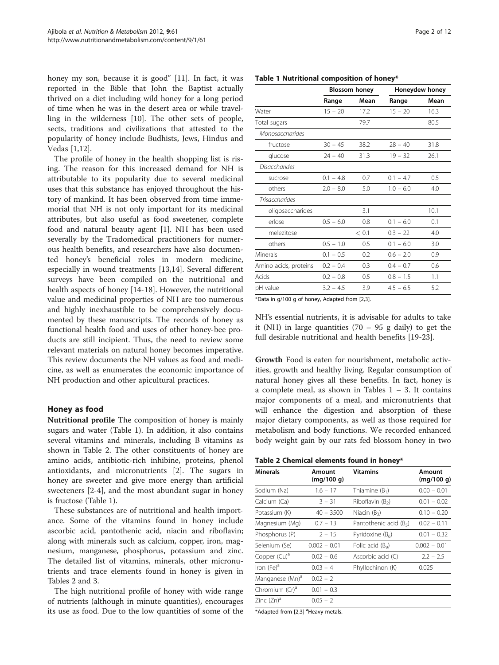<span id="page-1-0"></span>honey my son, because it is good" [[11](#page-9-0)]. In fact, it was reported in the Bible that John the Baptist actually thrived on a diet including wild honey for a long period of time when he was in the desert area or while travelling in the wilderness [\[10](#page-9-0)]. The other sets of people, sects, traditions and civilizations that attested to the popularity of honey include Budhists, Jews, Hindus and Vedas [\[1](#page-9-0),[12](#page-9-0)].

The profile of honey in the health shopping list is rising. The reason for this increased demand for NH is attributable to its popularity due to several medicinal uses that this substance has enjoyed throughout the history of mankind. It has been observed from time immemorial that NH is not only important for its medicinal attributes, but also useful as food sweetener, complete food and natural beauty agent [[1\]](#page-9-0). NH has been used severally by the Tradomedical practitioners for numerous health benefits, and researchers have also documented honey's beneficial roles in modern medicine, especially in wound treatments [[13,14](#page-9-0)]. Several different surveys have been compiled on the nutritional and health aspects of honey [[14-18](#page-9-0)]. However, the nutritional value and medicinal properties of NH are too numerous and highly inexhaustible to be comprehensively documented by these manuscripts. The records of honey as functional health food and uses of other honey-bee products are still incipient. Thus, the need to review some relevant materials on natural honey becomes imperative. This review documents the NH values as food and medicine, as well as enumerates the economic importance of NH production and other apicultural practices.

# Honey as food

Nutritional profile The composition of honey is mainly sugars and water (Table 1). In addition, it also contains several vitamins and minerals, including B vitamins as shown in Table 2. The other constituents of honey are amino acids, antibiotic-rich inhibine, proteins, phenol antioxidants, and micronutrients [\[2](#page-9-0)]. The sugars in honey are sweeter and give more energy than artificial sweeteners [\[2](#page-9-0)-[4\]](#page-9-0), and the most abundant sugar in honey is fructose (Table 1).

These substances are of nutritional and health importance. Some of the vitamins found in honey include ascorbic acid, pantothenic acid, niacin and riboflavin; along with minerals such as calcium, copper, iron, magnesium, manganese, phosphorus, potassium and zinc. The detailed list of vitamins, minerals, other micronutrients and trace elements found in honey is given in Tables 2 and [3](#page-2-0).

The high nutritional profile of honey with wide range of nutrients (although in minute quantities), encourages its use as food. Due to the low quantities of some of the

| Page 2 of 12 |  |  |
|--------------|--|--|
|              |  |  |

### Table 1 Nutritional composition of honey\*

|                       | <b>Blossom honey</b> |       | Honeydew honey |      |
|-----------------------|----------------------|-------|----------------|------|
|                       | Range                | Mean  | Range          | Mean |
| Water                 | $15 - 20$            | 17.2  | $15 - 20$      | 16.3 |
| Total sugars          |                      | 79.7  |                | 80.5 |
| Monosaccharides       |                      |       |                |      |
| fructose              | $30 - 45$            | 38.2  | $28 - 40$      | 31.8 |
| glucose               | $24 - 40$            | 31.3  | $19 - 32$      | 26.1 |
| Disaccharides         |                      |       |                |      |
| sucrose               | $0.1 - 4.8$          | 0.7   | $0.1 - 4.7$    | 0.5  |
| others                | $2.0 - 8.0$          | 5.0   | $1.0 - 6.0$    | 4.0  |
| Trisaccharides        |                      |       |                |      |
| oligosaccharides      |                      | 3.1   |                | 10.1 |
| erlose                | $0.5 - 6.0$          | 0.8   | $0.1 - 6.0$    | 0.1  |
| melezitose            |                      | < 0.1 | $0.3 - 22$     | 4.0  |
| others                | $0.5 - 1.0$          | 0.5   | $0.1 - 6.0$    | 3.0  |
| Minerals              | $0.1 - 0.5$          | 0.2   | $0.6 - 2.0$    | 0.9  |
| Amino acids, proteins | $0.2 - 0.4$          | 0.3   | $0.4 - 0.7$    | 0.6  |
| Acids                 | $0.2 - 0.8$          | 0.5   | $0.8 - 1.5$    | 1.1  |
| pH value              | $3.2 - 4.5$          | 3.9   | $4.5 - 6.5$    | 5.2  |
|                       |                      |       |                |      |

\*Data in g/100 g of honey, Adapted from [[2](#page-9-0),[3](#page-9-0)].

NH's essential nutrients, it is advisable for adults to take it (NH) in large quantities  $(70 - 95$  g daily) to get the full desirable nutritional and health benefits [\[19](#page-9-0)-[23](#page-9-0)].

Growth Food is eaten for nourishment, metabolic activities, growth and healthy living. Regular consumption of natural honey gives all these benefits. In fact, honey is a complete meal, as shown in Tables  $1 - 3$ . It contains major components of a meal, and micronutrients that will enhance the digestion and absorption of these major dietary components, as well as those required for metabolism and body functions. We recorded enhanced body weight gain by our rats fed blossom honey in two

| Table 2 Chemical elements found in honey* |  |  |
|-------------------------------------------|--|--|
|-------------------------------------------|--|--|

| <b>Minerals</b>             | Amount<br>(mq/100 q) | <b>Vitamins</b>       | Amount<br>(mq/100 q) |
|-----------------------------|----------------------|-----------------------|----------------------|
| Sodium (Na)                 | $1.6 - 17$           | Thiamine $(B_1)$      | $0.00 - 0.01$        |
| Calcium (Ca)                | $3 - 31$             | Riboflavin $(B2)$     | $0.01 - 0.02$        |
| Potassium (K)               | $40 - 3500$          | Niacin $(B_3)$        | $0.10 - 0.20$        |
| Magnesium (Mg)              | $0.7 - 13$           | Pantothenic acid (B5) | $0.02 - 0.11$        |
| Phosphorus (P)              | $2 - 15$             | Pyridoxine $(B_6)$    | $0.01 - 0.32$        |
| Selenium (Se)               | $0.002 - 0.01$       | Folic acid $(B9)$     | $0.002 - 0.01$       |
| Copper (Cu) <sup>a</sup>    | $0.02 - 0.6$         | Ascorbic acid $(C)$   | $2.2 - 2.5$          |
| Iron (Fe) <sup>a</sup>      | $0.03 - 4$           | Phyllochinon (K)      | 0.025                |
| Manganese (Mn) <sup>a</sup> | $0.02 - 2$           |                       |                      |
| Chromium (Cr) <sup>a</sup>  | $0.01 - 0.3$         |                       |                      |
| Zinc $(Zn)^a$               | $0.05 - 2$           |                       |                      |
|                             |                      |                       |                      |

\*Adapted from [[2](#page-9-0),[3](#page-9-0)] <sup>a</sup>Heavy metals.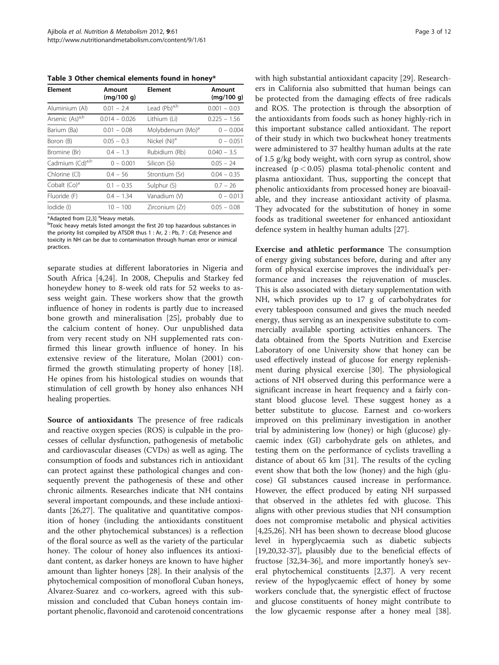<span id="page-2-0"></span>Table 3 Other chemical elements found in honey\*

| Element                     | Amount<br>(mq/100 q) | Element                      | Amount<br>(mq/100 q) |
|-----------------------------|----------------------|------------------------------|----------------------|
| Aluminium (Al)              | $0.01 - 2.4$         | Lead (Pb) <sup>a,b</sup>     | $0.001 - 0.03$       |
| Arsenic (As) <sup>a,b</sup> | $0.014 - 0.026$      | Lithium (Li)                 | $0.225 - 1.56$       |
| Barium (Ba)                 | $0.01 - 0.08$        | Molybdenum (Mo) <sup>a</sup> | $0 - 0.004$          |
| Boron (B)                   | $0.05 - 0.3$         | Nickel (Ni) <sup>a</sup>     | $0 - 0.051$          |
| Bromine (Br)                | $0.4 - 1.3$          | Rubidium (Rb)                | $0.040 - 3.5$        |
| Cadmium (Cd) <sup>a,b</sup> | $0 - 0.001$          | Silicon (Si)                 | $0.05 - 24$          |
| Chlorine (Cl)               | $0.4 - 56$           | Strontium (Sr)               | $0.04 - 0.35$        |
| Cobalt (Co) <sup>a</sup>    | $0.1 - 0.35$         | Sulphur (S)                  | $0.7 - 26$           |
| Fluoride (F)                | $0.4 - 1.34$         | Vanadium (V)                 | $0 - 0.013$          |
| lodide (I)                  | $10 - 100$           | Zirconium (Zr)               | $0.05 - 0.08$        |
|                             |                      |                              |                      |

\*Adapted from [[2](#page-9-0),[3](#page-9-0)] <sup>a</sup>Heavy metals.<br><sup>b</sup>Toxic beavy metals listed amongst

<sup>b</sup>Toxic heavy metals listed amongst the first 20 top hazardous substances in the priority list compiled by ATSDR thus 1 : Ar, 2 : Pb, 7 : Cd; Presence and toxicity in NH can be due to contamination through human error or inimical practices.

separate studies at different laboratories in Nigeria and South Africa [[4,24\]](#page-9-0). In 2008, Chepulis and Starkey fed honeydew honey to 8-week old rats for 52 weeks to assess weight gain. These workers show that the growth influence of honey in rodents is partly due to increased bone growth and mineralisation [[25\]](#page-9-0), probably due to the calcium content of honey. Our unpublished data from very recent study on NH supplemented rats confirmed this linear growth influence of honey. In his extensive review of the literature, Molan (2001) confirmed the growth stimulating property of honey [\[18](#page-9-0)]. He opines from his histological studies on wounds that stimulation of cell growth by honey also enhances NH healing properties.

Source of antioxidants The presence of free radicals and reactive oxygen species (ROS) is culpable in the processes of cellular dysfunction, pathogenesis of metabolic and cardiovascular diseases (CVDs) as well as aging. The consumption of foods and substances rich in antioxidant can protect against these pathological changes and consequently prevent the pathogenesis of these and other chronic ailments. Researches indicate that NH contains several important compounds, and these include antioxidants [[26,27\]](#page-9-0). The qualitative and quantitative composition of honey (including the antioxidants constituent and the other phytochemical substances) is a reflection of the floral source as well as the variety of the particular honey. The colour of honey also influences its antioxidant content, as darker honeys are known to have higher amount than lighter honeys [\[28](#page-9-0)]. In their analysis of the phytochemical composition of monofloral Cuban honeys, Alvarez-Suarez and co-workers, agreed with this submission and concluded that Cuban honeys contain important phenolic, flavonoid and carotenoid concentrations with high substantial antioxidant capacity [[29](#page-9-0)]. Researchers in California also submitted that human beings can be protected from the damaging effects of free radicals and ROS. The protection is through the absorption of the antioxidants from foods such as honey highly-rich in this important substance called antioxidant. The report of their study in which two buckwheat honey treatments were administered to 37 healthy human adults at the rate of 1.5 g/kg body weight, with corn syrup as control, show increased  $(p < 0.05)$  plasma total-phenolic content and plasma antioxidant. Thus, supporting the concept that phenolic antioxidants from processed honey are bioavailable, and they increase antioxidant activity of plasma. They advocated for the substitution of honey in some foods as traditional sweetener for enhanced antioxidant defence system in healthy human adults [\[27](#page-9-0)].

Exercise and athletic performance The consumption of energy giving substances before, during and after any form of physical exercise improves the individual's performance and increases the rejuvenation of muscles. This is also associated with dietary supplementation with NH, which provides up to 17 g of carbohydrates for every tablespoon consumed and gives the much needed energy, thus serving as an inexpensive substitute to commercially available sporting activities enhancers. The data obtained from the Sports Nutrition and Exercise Laboratory of one University show that honey can be used effectively instead of glucose for energy replenishment during physical exercise [\[30](#page-9-0)]. The physiological actions of NH observed during this performance were a significant increase in heart frequency and a fairly constant blood glucose level. These suggest honey as a better substitute to glucose. Earnest and co-workers improved on this preliminary investigation in another trial by administering low (honey) or high (glucose) glycaemic index (GI) carbohydrate gels on athletes, and testing them on the performance of cyclists travelling a distance of about 65 km [\[31\]](#page-9-0). The results of the cycling event show that both the low (honey) and the high (glucose) GI substances caused increase in performance. However, the effect produced by eating NH surpassed that observed in the athletes fed with glucose. This aligns with other previous studies that NH consumption does not compromise metabolic and physical activities [[4,25,26\]](#page-9-0). NH has been shown to decrease blood glucose level in hyperglycaemia such as diabetic subjects [[19,20,32-](#page-9-0)[37\]](#page-10-0), plausibly due to the beneficial effects of fructose [\[32,34-36](#page-9-0)], and more importantly honey's several phytochemical constituents [[2,](#page-9-0)[37\]](#page-10-0). A very recent review of the hypoglycaemic effect of honey by some workers conclude that, the synergistic effect of fructose and glucose constituents of honey might contribute to the low glycaemic response after a honey meal [\[38](#page-10-0)].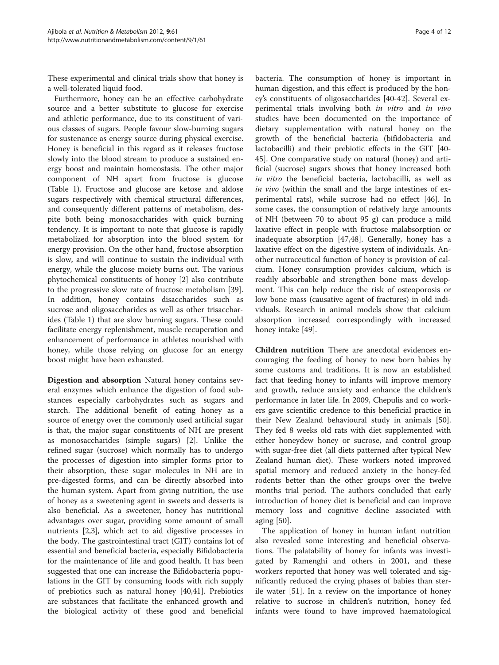These experimental and clinical trials show that honey is a well-tolerated liquid food.

Furthermore, honey can be an effective carbohydrate source and a better substitute to glucose for exercise and athletic performance, due to its constituent of various classes of sugars. People favour slow-burning sugars for sustenance as energy source during physical exercise. Honey is beneficial in this regard as it releases fructose slowly into the blood stream to produce a sustained energy boost and maintain homeostasis. The other major component of NH apart from fructose is glucose (Table [1\)](#page-1-0). Fructose and glucose are ketose and aldose sugars respectively with chemical structural differences, and consequently different patterns of metabolism, despite both being monosaccharides with quick burning tendency. It is important to note that glucose is rapidly metabolized for absorption into the blood system for energy provision. On the other hand, fructose absorption is slow, and will continue to sustain the individual with energy, while the glucose moiety burns out. The various phytochemical constituents of honey [[2\]](#page-9-0) also contribute to the progressive slow rate of fructose metabolism [\[39](#page-10-0)]. In addition, honey contains disaccharides such as sucrose and oligosaccharides as well as other trisaccharides (Table [1\)](#page-1-0) that are slow burning sugars. These could facilitate energy replenishment, muscle recuperation and enhancement of performance in athletes nourished with honey, while those relying on glucose for an energy boost might have been exhausted.

Digestion and absorption Natural honey contains several enzymes which enhance the digestion of food substances especially carbohydrates such as sugars and starch. The additional benefit of eating honey as a source of energy over the commonly used artificial sugar is that, the major sugar constituents of NH are present as monosaccharides (simple sugars) [[2\]](#page-9-0). Unlike the refined sugar (sucrose) which normally has to undergo the processes of digestion into simpler forms prior to their absorption, these sugar molecules in NH are in pre-digested forms, and can be directly absorbed into the human system. Apart from giving nutrition, the use of honey as a sweetening agent in sweets and desserts is also beneficial. As a sweetener, honey has nutritional advantages over sugar, providing some amount of small nutrients [[2,3\]](#page-9-0), which act to aid digestive processes in the body. The gastrointestinal tract (GIT) contains lot of essential and beneficial bacteria, especially Bifidobacteria for the maintenance of life and good health. It has been suggested that one can increase the Bifidobacteria populations in the GIT by consuming foods with rich supply of prebiotics such as natural honey [\[40,41\]](#page-10-0). Prebiotics are substances that facilitate the enhanced growth and the biological activity of these good and beneficial

bacteria. The consumption of honey is important in human digestion, and this effect is produced by the honey's constituents of oligosaccharides [[40-42\]](#page-10-0). Several experimental trials involving both in vitro and in vivo studies have been documented on the importance of dietary supplementation with natural honey on the growth of the beneficial bacteria (bifidobacteria and lactobacilli) and their prebiotic effects in the GIT [\[40-](#page-10-0) [45\]](#page-10-0). One comparative study on natural (honey) and artificial (sucrose) sugars shows that honey increased both in vitro the beneficial bacteria, lactobacilli, as well as in vivo (within the small and the large intestines of experimental rats), while sucrose had no effect [\[46](#page-10-0)]. In some cases, the consumption of relatively large amounts of NH (between 70 to about 95 g) can produce a mild laxative effect in people with fructose malabsorption or inadequate absorption [\[47,48](#page-10-0)]. Generally, honey has a laxative effect on the digestive system of individuals. Another nutraceutical function of honey is provision of calcium. Honey consumption provides calcium, which is readily absorbable and strengthen bone mass development. This can help reduce the risk of osteoporosis or low bone mass (causative agent of fractures) in old individuals. Research in animal models show that calcium absorption increased correspondingly with increased honey intake [\[49](#page-10-0)].

Children nutrition There are anecdotal evidences encouraging the feeding of honey to new born babies by some customs and traditions. It is now an established fact that feeding honey to infants will improve memory and growth, reduce anxiety and enhance the children's performance in later life. In 2009, Chepulis and co workers gave scientific credence to this beneficial practice in their New Zealand behavioural study in animals [\[50](#page-10-0)]. They fed 8 weeks old rats with diet supplemented with either honeydew honey or sucrose, and control group with sugar-free diet (all diets patterned after typical New Zealand human diet). These workers noted improved spatial memory and reduced anxiety in the honey-fed rodents better than the other groups over the twelve months trial period. The authors concluded that early introduction of honey diet is beneficial and can improve memory loss and cognitive decline associated with aging [[50](#page-10-0)].

The application of honey in human infant nutrition also revealed some interesting and beneficial observations. The palatability of honey for infants was investigated by Ramenghi and others in 2001, and these workers reported that honey was well tolerated and significantly reduced the crying phases of babies than sterile water [\[51\]](#page-10-0). In a review on the importance of honey relative to sucrose in children's nutrition, honey fed infants were found to have improved haematological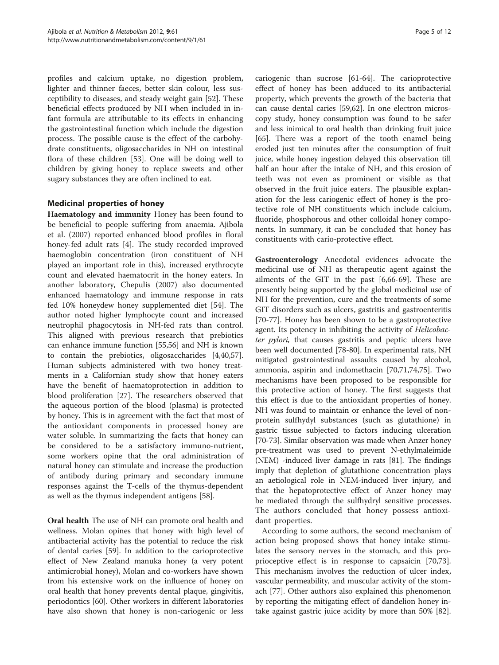profiles and calcium uptake, no digestion problem, lighter and thinner faeces, better skin colour, less susceptibility to diseases, and steady weight gain [\[52\]](#page-10-0). These beneficial effects produced by NH when included in infant formula are attributable to its effects in enhancing the gastrointestinal function which include the digestion process. The possible cause is the effect of the carbohydrate constituents, oligosaccharides in NH on intestinal flora of these children [\[53\]](#page-10-0). One will be doing well to children by giving honey to replace sweets and other sugary substances they are often inclined to eat.

# Medicinal properties of honey

Haematology and immunity Honey has been found to be beneficial to people suffering from anaemia. Ajibola et al. (2007) reported enhanced blood profiles in floral honey-fed adult rats [[4](#page-9-0)]. The study recorded improved haemoglobin concentration (iron constituent of NH played an important role in this), increased erythrocyte count and elevated haematocrit in the honey eaters. In another laboratory, Chepulis (2007) also documented enhanced haematology and immune response in rats fed 10% honeydew honey supplemented diet [[54\]](#page-10-0). The author noted higher lymphocyte count and increased neutrophil phagocytosis in NH-fed rats than control. This aligned with previous research that prebiotics can enhance immune function [[55,56\]](#page-10-0) and NH is known to contain the prebiotics, oligosaccharides [\[4](#page-9-0)[,40,57](#page-10-0)]. Human subjects administered with two honey treatments in a Californian study show that honey eaters have the benefit of haematoprotection in addition to blood proliferation [[27\]](#page-9-0). The researchers observed that the aqueous portion of the blood (plasma) is protected by honey. This is in agreement with the fact that most of the antioxidant components in processed honey are water soluble. In summarizing the facts that honey can be considered to be a satisfactory immuno-nutrient, some workers opine that the oral administration of natural honey can stimulate and increase the production of antibody during primary and secondary immune responses against the T-cells of the thymus-dependent as well as the thymus independent antigens [\[58\]](#page-10-0).

Oral health The use of NH can promote oral health and wellness. Molan opines that honey with high level of antibacterial activity has the potential to reduce the risk of dental caries [\[59](#page-10-0)]. In addition to the carioprotective effect of New Zealand manuka honey (a very potent antimicrobial honey), Molan and co-workers have shown from his extensive work on the influence of honey on oral health that honey prevents dental plaque, gingivitis, periodontics [\[60](#page-10-0)]. Other workers in different laboratories have also shown that honey is non-cariogenic or less

cariogenic than sucrose [\[61-64](#page-10-0)]. The carioprotective effect of honey has been adduced to its antibacterial property, which prevents the growth of the bacteria that can cause dental caries [\[59,62\]](#page-10-0). In one electron microscopy study, honey consumption was found to be safer and less inimical to oral health than drinking fruit juice [[65\]](#page-10-0). There was a report of the tooth enamel being eroded just ten minutes after the consumption of fruit juice, while honey ingestion delayed this observation till half an hour after the intake of NH, and this erosion of teeth was not even as prominent or visible as that observed in the fruit juice eaters. The plausible explanation for the less cariogenic effect of honey is the protective role of NH constituents which include calcium, fluoride, phosphorous and other colloidal honey components. In summary, it can be concluded that honey has constituents with cario-protective effect.

Gastroenterology Anecdotal evidences advocate the medicinal use of NH as therapeutic agent against the ailments of the GIT in the past [\[6](#page-9-0),[66](#page-10-0)-[69\]](#page-10-0). These are presently being supported by the global medicinal use of NH for the prevention, cure and the treatments of some GIT disorders such as ulcers, gastritis and gastroenteritis [[70-77](#page-10-0)]. Honey has been shown to be a gastroprotective agent. Its potency in inhibiting the activity of *Helicobac*ter pylori, that causes gastritis and peptic ulcers have been well documented [[78](#page-10-0)-[80\]](#page-10-0). In experimental rats, NH mitigated gastrointestinal assaults caused by alcohol, ammonia, aspirin and indomethacin [[70,71](#page-10-0),[74](#page-10-0),[75](#page-10-0)]. Two mechanisms have been proposed to be responsible for this protective action of honey. The first suggests that this effect is due to the antioxidant properties of honey. NH was found to maintain or enhance the level of nonprotein sulfhydyl substances (such as glutathione) in gastric tissue subjected to factors inducing ulceration [[70-73](#page-10-0)]. Similar observation was made when Anzer honey pre-treatment was used to prevent N-ethylmaleimide (NEM) -induced liver damage in rats [[81](#page-10-0)]. The findings imply that depletion of glutathione concentration plays an aetiological role in NEM-induced liver injury, and that the hepatoprotective effect of Anzer honey may be mediated through the sulfhydryl sensitive processes. The authors concluded that honey possess antioxidant properties.

According to some authors, the second mechanism of action being proposed shows that honey intake stimulates the sensory nerves in the stomach, and this proprioceptive effect is in response to capsaicin [\[70,73](#page-10-0)]. This mechanism involves the reduction of ulcer index, vascular permeability, and muscular activity of the stomach [\[77](#page-10-0)]. Other authors also explained this phenomenon by reporting the mitigating effect of dandelion honey intake against gastric juice acidity by more than 50% [\[82](#page-10-0)].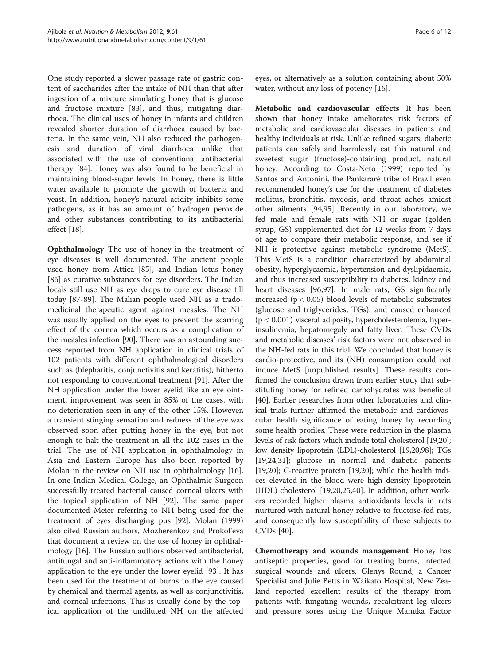One study reported a slower passage rate of gastric content of saccharides after the intake of NH than that after ingestion of a mixture simulating honey that is glucose and fructose mixture [[83\]](#page-10-0), and thus, mitigating diarrhoea. The clinical uses of honey in infants and children revealed shorter duration of diarrhoea caused by bacteria. In the same vein, NH also reduced the pathogenesis and duration of viral diarrhoea unlike that associated with the use of conventional antibacterial therapy [[84\]](#page-10-0). Honey was also found to be beneficial in maintaining blood-sugar levels. In honey, there is little water available to promote the growth of bacteria and yeast. In addition, honey's natural acidity inhibits some pathogens, as it has an amount of hydrogen peroxide and other substances contributing to its antibacterial effect [[18\]](#page-9-0).

Ophthalmology The use of honey in the treatment of eye diseases is well documented. The ancient people used honey from Attica [[85](#page-10-0)], and Indian lotus honey [[86\]](#page-10-0) as curative substances for eye disorders. The Indian locals still use NH as eye drops to cure eye disease till today [\[87](#page-10-0)-[89](#page-10-0)]. The Malian people used NH as a tradomedicinal therapeutic agent against measles. The NH was usually applied on the eyes to prevent the scarring effect of the cornea which occurs as a complication of the measles infection [\[90\]](#page-10-0). There was an astounding success reported from NH application in clinical trials of 102 patients with different ophthalmological disorders such as (blepharitis, conjunctivitis and keratitis), hitherto not responding to conventional treatment [\[91](#page-10-0)]. After the NH application under the lower eyelid like an eye ointment, improvement was seen in 85% of the cases, with no deterioration seen in any of the other 15%. However, a transient stinging sensation and redness of the eye was observed soon after putting honey in the eye, but not enough to halt the treatment in all the 102 cases in the trial. The use of NH application in ophthalmology in Asia and Eastern Europe has also been reported by Molan in the review on NH use in ophthalmology [\[16](#page-9-0)]. In one Indian Medical College, an Ophthalmic Surgeon successfully treated bacterial caused corneal ulcers with the topical application of NH [[92\]](#page-10-0). The same paper documented Meier referring to NH being used for the treatment of eyes discharging pus [\[92](#page-10-0)]. Molan (1999) also cited Russian authors, Mozherenkov and Prokof'eva that document a review on the use of honey in ophthalmology [[16\]](#page-9-0). The Russian authors observed antibacterial, antifungal and anti-inflammatory actions with the honey application to the eye under the lower eyelid [[93\]](#page-11-0). It has been used for the treatment of burns to the eye caused by chemical and thermal agents, as well as conjunctivitis, and corneal infections. This is usually done by the topical application of the undiluted NH on the affected eyes, or alternatively as a solution containing about 50% water, without any loss of potency [\[16](#page-9-0)].

Metabolic and cardiovascular effects It has been shown that honey intake ameliorates risk factors of metabolic and cardiovascular diseases in patients and healthy individuals at risk. Unlike refined sugars, diabetic patients can safely and harmlessly eat this natural and sweetest sugar (fructose)-containing product, natural honey. According to Costa-Neto (1999) reported by Santos and Antonini, the Pankararé tribe of Brazil even recommended honey's use for the treatment of diabetes mellitus, bronchitis, mycosis, and throat aches amidst other ailments [\[94,95\]](#page-11-0). Recently in our laboratory, we fed male and female rats with NH or sugar (golden syrup, GS) supplemented diet for 12 weeks from 7 days of age to compare their metabolic response, and see if NH is protective against metabolic syndrome (MetS). This MetS is a condition characterized by abdominal obesity, hyperglycaemia, hypertension and dyslipidaemia, and thus increased susceptibility to diabetes, kidney and heart diseases [[96,97](#page-11-0)]. In male rats, GS significantly increased ( $p < 0.05$ ) blood levels of metabolic substrates (glucose and triglycerides, TGs); and caused enhanced (p < 0.001) visceral adiposity, hypercholesterolemia, hyperinsulinemia, hepatomegaly and fatty liver. These CVDs and metabolic diseases' risk factors were not observed in the NH-fed rats in this trial. We concluded that honey is cardio-protective, and its (NH) consumption could not induce MetS [unpublished results]. These results confirmed the conclusion drawn from earlier study that substituting honey for refined carbohydrates was beneficial [[40\]](#page-10-0). Earlier researches from other laboratories and clinical trials further affirmed the metabolic and cardiovascular health significance of eating honey by recording some health profiles. These were reduction in the plasma levels of risk factors which include total cholesterol [\[19,20](#page-9-0)]; low density lipoprotein (LDL)-cholesterol [[19,20,](#page-9-0)[98](#page-11-0)]; TGs [[19,24](#page-9-0),[31](#page-9-0)]; glucose in normal and diabetic patients [[19,20](#page-9-0)]; C-reactive protein [\[19,20\]](#page-9-0); while the health indices elevated in the blood were high density lipoprotein (HDL) cholesterol [\[19,20,25,](#page-9-0)[40](#page-10-0)]. In addition, other workers recorded higher plasma antioxidants levels in rats nurtured with natural honey relative to fructose-fed rats, and consequently low susceptibility of these subjects to CVDs [\[40](#page-10-0)].

Chemotherapy and wounds management Honey has antiseptic properties, good for treating burns, infected surgical wounds and ulcers. Glenys Round, a Cancer Specialist and Julie Betts in Waikato Hospital, New Zealand reported excellent results of the therapy from patients with fungating wounds, recalcitrant leg ulcers and pressure sores using the Unique Manuka Factor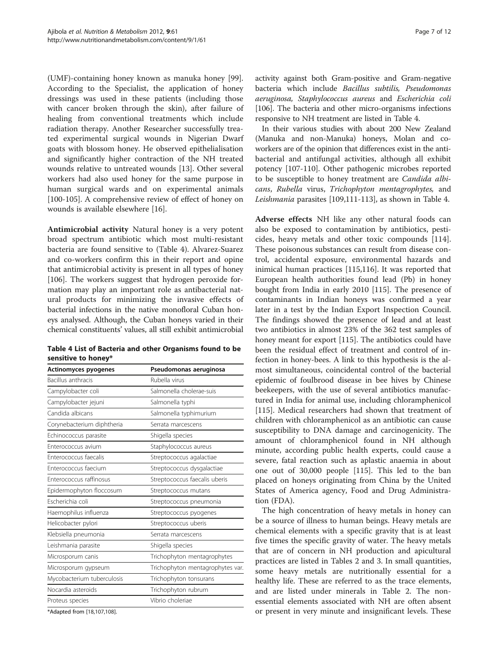(UMF)-containing honey known as manuka honey [\[99](#page-11-0)]. According to the Specialist, the application of honey dressings was used in these patients (including those with cancer broken through the skin), after failure of healing from conventional treatments which include radiation therapy. Another Researcher successfully treated experimental surgical wounds in Nigerian Dwarf goats with blossom honey. He observed epithelialisation and significantly higher contraction of the NH treated wounds relative to untreated wounds [[13\]](#page-9-0). Other several workers had also used honey for the same purpose in human surgical wards and on experimental animals [[100-105\]](#page-11-0). A comprehensive review of effect of honey on wounds is available elsewhere [\[16\]](#page-9-0).

Antimicrobial activity Natural honey is a very potent broad spectrum antibiotic which most multi-resistant bacteria are found sensitive to (Table 4). Alvarez-Suarez and co-workers confirm this in their report and opine that antimicrobial activity is present in all types of honey [[106\]](#page-11-0). The workers suggest that hydrogen peroxide formation may play an important role as antibacterial natural products for minimizing the invasive effects of bacterial infections in the native monofloral Cuban honeys analysed. Although, the Cuban honeys varied in their chemical constituents' values, all still exhibit antimicrobial

Table 4 List of Bacteria and other Organisms found to be sensitive to honey\*

| <b>Actinomyces pyogenes</b> | Pseudomonas aeruginosa           |
|-----------------------------|----------------------------------|
| Bacillus anthracis          | Rubella virus                    |
| Campylobacter coli          | Salmonella cholerae-suis         |
| Campylobacter jejuni        | Salmonella typhi                 |
| Candida albicans            | Salmonella typhimurium           |
| Corynebacterium diphtheria  | Serrata marcescens               |
| Echinococcus parasite       | Shigella species                 |
| Enterococcus avium          | Staphylococcus aureus            |
| Enterococcus faecalis       | Streptococcus agalactiae         |
| Enterococcus faecium        | Streptococcus dysgalactiae       |
| Enterococcus raffinosus     | Streptococcus faecalis uberis    |
| Epidermophyton floccosum    | Streptococcus mutans             |
| Escherichia coli            | Streptococcus pneumonia          |
| Haemophilus influenza       | Streptococcus pyogenes           |
| Helicobacter pylori         | Streptococcus uberis             |
| Klebsiella pneumonia        | Serrata marcescens               |
| Leishmania parasite         | Shigella species                 |
| Microsporum canis           | Trichophyton mentagrophytes      |
| Microsporum gypseum         | Trichophyton mentagrophytes var. |
| Mycobacterium tuberculosis  | Trichophyton tonsurans           |
| Nocardia asteroids          | Trichophyton rubrum              |
| Proteus species             | Vibrio choleriae                 |
|                             |                                  |

\*Adapted from [[18](#page-9-0)[,107](#page-11-0),[108](#page-11-0)].

activity against both Gram-positive and Gram-negative bacteria which include Bacillus subtilis, Pseudomonas aeruginosa, Staphylococcus aureus and Escherichia coli [[106](#page-11-0)]. The bacteria and other micro-organisms infections responsive to NH treatment are listed in Table 4.

In their various studies with about 200 New Zealand (Manuka and non-Manuka) honeys, Molan and coworkers are of the opinion that differences exist in the antibacterial and antifungal activities, although all exhibit potency [[107-110\]](#page-11-0). Other pathogenic microbes reported to be susceptible to honey treatment are Candida albicans, Rubella virus, Trichophyton mentagrophytes, and Leishmania parasites [[109,111](#page-11-0)-[113](#page-11-0)], as shown in Table 4.

Adverse effects NH like any other natural foods can also be exposed to contamination by antibiotics, pesticides, heavy metals and other toxic compounds [[114](#page-11-0)]. These poisonous substances can result from disease control, accidental exposure, environmental hazards and inimical human practices [\[115,116](#page-11-0)]. It was reported that European health authorities found lead (Pb) in honey bought from India in early 2010 [\[115\]](#page-11-0). The presence of contaminants in Indian honeys was confirmed a year later in a test by the Indian Export Inspection Council. The findings showed the presence of lead and at least two antibiotics in almost 23% of the 362 test samples of honey meant for export [[115](#page-11-0)]. The antibiotics could have been the residual effect of treatment and control of infection in honey-bees. A link to this hypothesis is the almost simultaneous, coincidental control of the bacterial epidemic of foulbrood disease in bee hives by Chinese beekeepers, with the use of several antibiotics manufactured in India for animal use, including chloramphenicol [[115\]](#page-11-0). Medical researchers had shown that treatment of children with chloramphenicol as an antibiotic can cause susceptibility to DNA damage and carcinogenicity. The amount of chloramphenicol found in NH although minute, according public health experts, could cause a severe, fatal reaction such as aplastic anaemia in about one out of 30,000 people [\[115\]](#page-11-0). This led to the ban placed on honeys originating from China by the United States of America agency, Food and Drug Administration (FDA).

The high concentration of heavy metals in honey can be a source of illness to human beings. Heavy metals are chemical elements with a specific gravity that is at least five times the specific gravity of water. The heavy metals that are of concern in NH production and apicultural practices are listed in Tables [2](#page-1-0) and [3.](#page-2-0) In small quantities, some heavy metals are nutritionally essential for a healthy life. These are referred to as the trace elements, and are listed under minerals in Table [2.](#page-1-0) The nonessential elements associated with NH are often absent or present in very minute and insignificant levels. These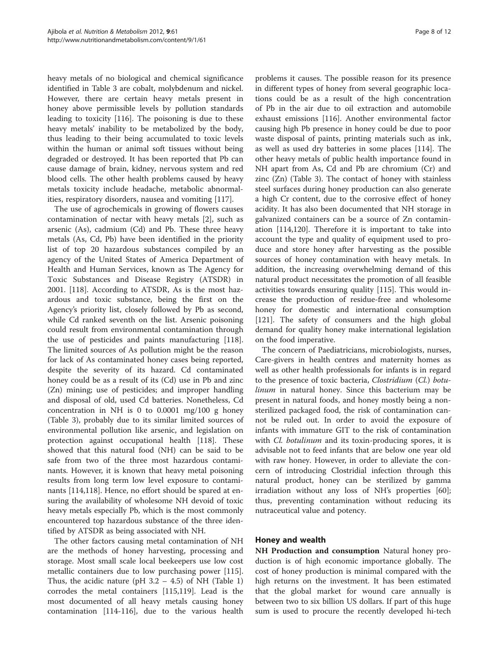heavy metals of no biological and chemical significance identified in Table [3](#page-2-0) are cobalt, molybdenum and nickel. However, there are certain heavy metals present in honey above permissible levels by pollution standards leading to toxicity [[116](#page-11-0)]. The poisoning is due to these heavy metals' inability to be metabolized by the body, thus leading to their being accumulated to toxic levels within the human or animal soft tissues without being degraded or destroyed. It has been reported that Pb can cause damage of brain, kidney, nervous system and red blood cells. The other health problems caused by heavy metals toxicity include headache, metabolic abnormalities, respiratory disorders, nausea and vomiting [\[117\]](#page-11-0).

The use of agrochemicals in growing of flowers causes contamination of nectar with heavy metals [[2\]](#page-9-0), such as arsenic (As), cadmium (Cd) and Pb. These three heavy metals (As, Cd, Pb) have been identified in the priority list of top 20 hazardous substances compiled by an agency of the United States of America Department of Health and Human Services, known as The Agency for Toxic Substances and Disease Registry (ATSDR) in 2001. [[118](#page-11-0)]. According to ATSDR, As is the most hazardous and toxic substance, being the first on the Agency's priority list, closely followed by Pb as second, while Cd ranked seventh on the list. Arsenic poisoning could result from environmental contamination through the use of pesticides and paints manufacturing [\[118](#page-11-0)]. The limited sources of As pollution might be the reason for lack of As contaminated honey cases being reported, despite the severity of its hazard. Cd contaminated honey could be as a result of its (Cd) use in Pb and zinc (Zn) mining; use of pesticides; and improper handling and disposal of old, used Cd batteries. Nonetheless, Cd concentration in NH is 0 to 0.0001 mg/100 g honey (Table [3\)](#page-2-0), probably due to its similar limited sources of environmental pollution like arsenic, and legislation on protection against occupational health [[118](#page-11-0)]. These showed that this natural food (NH) can be said to be safe from two of the three most hazardous contaminants. However, it is known that heavy metal poisoning results from long term low level exposure to contaminants [\[114,118\]](#page-11-0). Hence, no effort should be spared at ensuring the availability of wholesome NH devoid of toxic heavy metals especially Pb, which is the most commonly encountered top hazardous substance of the three identified by ATSDR as being associated with NH.

The other factors causing metal contamination of NH are the methods of honey harvesting, processing and storage. Most small scale local beekeepers use low cost metallic containers due to low purchasing power [\[115](#page-11-0)]. Thus, the acidic nature (pH  $3.2 - 4.5$ ) of NH (Table [1](#page-1-0)) corrodes the metal containers [[115,119\]](#page-11-0). Lead is the most documented of all heavy metals causing honey contamination [\[114-116](#page-11-0)], due to the various health

problems it causes. The possible reason for its presence in different types of honey from several geographic locations could be as a result of the high concentration of Pb in the air due to oil extraction and automobile exhaust emissions [[116\]](#page-11-0). Another environmental factor causing high Pb presence in honey could be due to poor waste disposal of paints, printing materials such as ink, as well as used dry batteries in some places [\[114](#page-11-0)]. The other heavy metals of public health importance found in NH apart from As, Cd and Pb are chromium (Cr) and zinc (Zn) (Table [3](#page-2-0)). The contact of honey with stainless steel surfaces during honey production can also generate a high Cr content, due to the corrosive effect of honey acidity. It has also been documented that NH storage in galvanized containers can be a source of Zn contamination [\[114,120\]](#page-11-0). Therefore it is important to take into account the type and quality of equipment used to produce and store honey after harvesting as the possible sources of honey contamination with heavy metals. In addition, the increasing overwhelming demand of this natural product necessitates the promotion of all feasible activities towards ensuring quality [[115\]](#page-11-0). This would increase the production of residue-free and wholesome honey for domestic and international consumption [[121\]](#page-11-0). The safety of consumers and the high global demand for quality honey make international legislation on the food imperative.

The concern of Paediatricians, microbiologists, nurses, Care-givers in health centres and maternity homes as well as other health professionals for infants is in regard to the presence of toxic bacteria, Clostridium (Cl.) botulinum in natural honey. Since this bacterium may be present in natural foods, and honey mostly being a nonsterilized packaged food, the risk of contamination cannot be ruled out. In order to avoid the exposure of infants with immature GIT to the risk of contamination with *Cl. botulinum* and its toxin-producing spores, it is advisable not to feed infants that are below one year old with raw honey. However, in order to alleviate the concern of introducing Clostridial infection through this natural product, honey can be sterilized by gamma irradiation without any loss of NH's properties [\[60](#page-10-0)]; thus, preventing contamination without reducing its nutraceutical value and potency.

# Honey and wealth

NH Production and consumption Natural honey production is of high economic importance globally. The cost of honey production is minimal compared with the high returns on the investment. It has been estimated that the global market for wound care annually is between two to six billion US dollars. If part of this huge sum is used to procure the recently developed hi-tech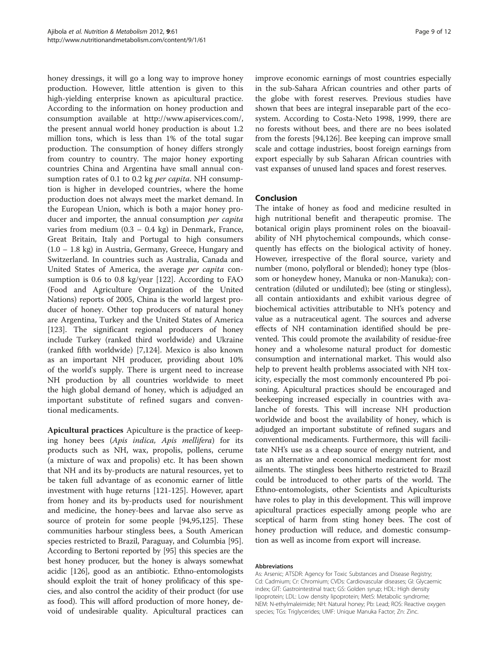honey dressings, it will go a long way to improve honey production. However, little attention is given to this high-yielding enterprise known as apicultural practice. According to the information on honey production and consumption available at<http://www.apiservices.com/>, the present annual world honey production is about 1.2 million tons, which is less than 1% of the total sugar production. The consumption of honey differs strongly from country to country. The major honey exporting countries China and Argentina have small annual consumption rates of 0.1 to 0.2 kg per capita. NH consumption is higher in developed countries, where the home production does not always meet the market demand. In the European Union, which is both a major honey producer and importer, the annual consumption *per capita* varies from medium  $(0.3 - 0.4 \text{ kg})$  in Denmark, France, Great Britain, Italy and Portugal to high consumers (1.0 – 1.8 kg) in Austria, Germany, Greece, Hungary and Switzerland. In countries such as Australia, Canada and United States of America, the average per capita consumption is 0.6 to 0.8 kg/year [\[122](#page-11-0)]. According to FAO (Food and Agriculture Organization of the United Nations) reports of 2005, China is the world largest producer of honey. Other top producers of natural honey are Argentina, Turkey and the United States of America [[123\]](#page-11-0). The significant regional producers of honey include Turkey (ranked third worldwide) and Ukraine (ranked fifth worldwide) [\[7](#page-9-0)[,124\]](#page-11-0). Mexico is also known as an important NH producer, providing about 10% of the world's supply. There is urgent need to increase NH production by all countries worldwide to meet the high global demand of honey, which is adjudged an important substitute of refined sugars and conventional medicaments.

Apicultural practices Apiculture is the practice of keeping honey bees (Apis indica, Apis mellifera) for its products such as NH, wax, propolis, pollens, cerume (a mixture of wax and propolis) etc. It has been shown that NH and its by-products are natural resources, yet to be taken full advantage of as economic earner of little investment with huge returns [\[121-125](#page-11-0)]. However, apart from honey and its by-products used for nourishment and medicine, the honey-bees and larvae also serve as source of protein for some people [[94,95,125](#page-11-0)]. These communities harbour stingless bees, a South American species restricted to Brazil, Paraguay, and Columbia [\[95](#page-11-0)]. According to Bertoni reported by [\[95\]](#page-11-0) this species are the best honey producer, but the honey is always somewhat acidic [\[126\]](#page-11-0), good as an antibiotic. Ethno-entomologists should exploit the trait of honey prolificacy of this species, and also control the acidity of their product (for use as food). This will afford production of more honey, devoid of undesirable quality. Apicultural practices can improve economic earnings of most countries especially in the sub-Sahara African countries and other parts of the globe with forest reserves. Previous studies have shown that bees are integral inseparable part of the ecosystem. According to Costa-Neto 1998, 1999, there are no forests without bees, and there are no bees isolated from the forests [\[94,126](#page-11-0)]. Bee keeping can improve small scale and cottage industries, boost foreign earnings from export especially by sub Saharan African countries with vast expanses of unused land spaces and forest reserves.

# Conclusion

The intake of honey as food and medicine resulted in high nutritional benefit and therapeutic promise. The botanical origin plays prominent roles on the bioavailability of NH phytochemical compounds, which consequently has effects on the biological activity of honey. However, irrespective of the floral source, variety and number (mono, polyfloral or blended); honey type (blossom or honeydew honey, Manuka or non-Manuka); concentration (diluted or undiluted); bee (sting or stingless), all contain antioxidants and exhibit various degree of biochemical activities attributable to NH's potency and value as a nutraceutical agent. The sources and adverse effects of NH contamination identified should be prevented. This could promote the availability of residue-free honey and a wholesome natural product for domestic consumption and international market. This would also help to prevent health problems associated with NH toxicity, especially the most commonly encountered Pb poisoning. Apicultural practices should be encouraged and beekeeping increased especially in countries with avalanche of forests. This will increase NH production worldwide and boost the availability of honey, which is adjudged an important substitute of refined sugars and conventional medicaments. Furthermore, this will facilitate NH's use as a cheap source of energy nutrient, and as an alternative and economical medicament for most ailments. The stingless bees hitherto restricted to Brazil could be introduced to other parts of the world. The Ethno-entomologists, other Scientists and Apiculturists have roles to play in this development. This will improve apicultural practices especially among people who are sceptical of harm from sting honey bees. The cost of honey production will reduce, and domestic consumption as well as income from export will increase.

# Abbreviations

As: Arsenic; ATSDR: Agency for Toxic Substances and Disease Registry; Cd: Cadmium; Cr: Chromium; CVDs: Cardiovascular diseases; GI: Glycaemic index; GIT: Gastrointestinal tract; GS: Golden syrup; HDL: High density lipoprotein; LDL: Low density lipoprotein; MetS: Metabolic syndrome; NEM: N-ethylmaleimide; NH: Natural honey; Pb: Lead; ROS: Reactive oxygen species; TGs: Triglycerides; UMF: Unique Manuka Factor; Zn: Zinc.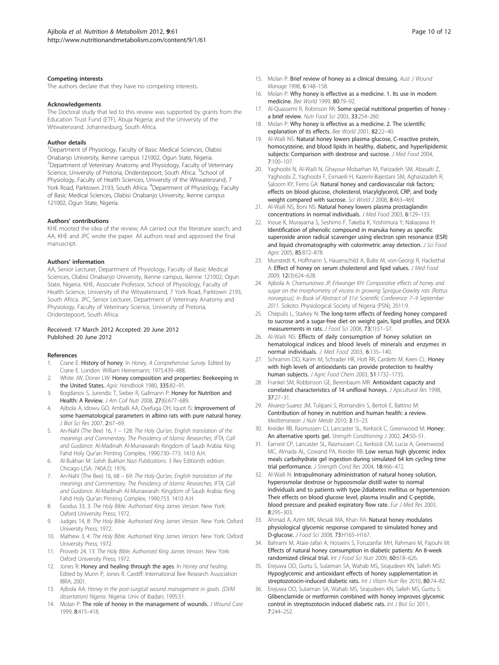#### <span id="page-9-0"></span>Competing interests

The authors declare that they have no competing interests.

#### Acknowledgements

The Doctoral study that led to this review was supported by grants from the Education Trust Fund (ETF), Abuja Nigeria; and the University of the Witwatersrand, Johannesburg, South Africa.

#### Author details

<sup>1</sup>Department of Physiology, Faculty of Basic Medical Sciences, Olabisi Onabanjo University, Ikenne campus 121002, Ogun State, Nigeria. <sup>2</sup> Department of Veterinary Anatomy and Physiology, Faculty of Veterinary Science, University of Pretoria, Onderstepoort, South Africa. <sup>3</sup>School of Physiology, Faculty of Health Sciences, University of the Witwatersrand, 7 York Road, Parktown 2193, South Africa. <sup>4</sup>Department of Physiology, Faculty of Basic Medical Sciences, Olabisi Onabanjo University, Ikenne campus 121002, Ogun State, Nigeria.

#### Authors' contributions

KHE mooted the idea of the review; AA carried out the literature search; and AA, KHE and JPC wrote the paper. All authors read and approved the final manuscript.

#### Authors' information

AA, Senior Lecturer, Department of Physiology, Faculty of Basic Medical Sciences, Olabisi Onabanjo University, Ikenne campus, Ikenne 121002, Ogun State, Nigeria. KHE, Associate Professor, School of Physiology, Faculty of Health Science, University of the Witwatersrand, 7 York Road, Parktown 2193, South Africa. JPC, Senior Lecturer, Department of Veterinary Anatomy and Physiology, Faculty of Veterinary Science, University of Pretoria, Onderstepoort, South Africa.

#### Received: 17 March 2012 Accepted: 20 June 2012 Published: 20 June 2012

#### References

- Crane E: History of honey. In Honey, A Comprehensive Survey. Edited by Crane E. London: William Heinemann; 1975:439–488.
- 2. White JW, Doner LW: Honey composition and properties: Beekeeping in the United States. Agric Handbook 1980, 335:82–91.
- 3. Boadanov S, Jurendic T, Sieber R, Gallmann P: Honey for Nutrition and Health: A Review. J Am Coll Nutr 2008, 27(6):677–689.
- 4. Ajibola A, Idowu GO, Amballi AA, Oyefuga OH, Iguot IS: Improvement of some haematological parameters in albino rats with pure natural honey. J Biol Sci Res 2007, 2:67–69.
- 5. An-Nahl (The Bee) 16, 1 128: The Holy Qur'an, English translation of the meanings and Commentary. The Presidency of Islamic Researches, IFTA, Call and Guidance. Al-Madinah Al-Munawarah: Kingdom of Saudi Arabia: King Fahd Holy Qur'an Printing Complex; 1990:730–773. 1410 A.H.
- 6. Al-Bukhari M: Sahih Bukhari Nazi Publications. 3 Rev Editionth edition. Chicago LISA: 740A.D; 1976.
- 7. An-Nahl (The Bee) 16, 68 69: The Holy Qur'an, English translation of the meanings and Commentary. The Presidency of Islamic Researches, IFTA, Call and Guidance. Al-Madinah Al-Munawarah: Kingdom of Saudi Arabia: King Fahd Holy Qur'an Printing Complex; 1990:753. 1410 A.H.
- 8. Exodus 33, 3: The Holy Bible. Authorised King James Version. New York: Oxford University Press; 1972.
- 9. Judges 14, 8: The Holy Bible. Authorised King James Version. New York: Oxford University Press; 1972.
- 10. Mathew 3, 4: The Holy Bible. Authorised King James Version. New York: Oxford University Press; 1972.
- 11. Proverb 24, 13: The Holy Bible. Authorised King James Version. New York: Oxford University Press; 1972.
- 12. Jones R: Honey and healing through the ages. In Honey and healing. Edited by Munn P, Jones R. Cardiff: International Bee Research Association IBRA; 2001.
- 13. Ajibola AA: Honey in the post-surgical wound management in goats. (DVM dissertation) Nigeria. Nigeria: Univ of Ibadan; 1995:51.
- 14. Molan P: The role of honey in the management of wounds. J Wound Care 1999, 8:415–418.
- 15. Molan P: Brief review of honey as a clinical dressing. Aust J Wound Manage 1998, 6:148–158.
- 16. Molan P: Why honey is effective as a medicine. 1. Its use in modern medicine. Bee World 1999, 80:79-92.
- 17. Al-Quassemi R, Robinson RK: Some special nutritional properties of honey a brief review. Nutr Food Sci 2003, 33:254–260.
- 18. Molan P: Why honey is effective as a medicine. 2. The scientific explanation of its effects. Bee World 2001, 82:22–40.
- 19. Al-Waili NS: Natural honey lowers plasma glucose, C-reactive protein, homocysteine, and blood lipids in healthy, diabetic, and hyperlipidemic subjects: Comparison with dextrose and sucrose. J Med Food 2004, 7:100–107.
- 20. Yaghoobi N, Al-Waili N, Ghayour-Mobarhan M, Parizadeh SM, Abasalti Z, Yaghoobi Z, Yaghoobi F, Esmaeili H, Kazemi-Bajestani SM, Aghasizadeh R, Saloom KY, Ferns GA: Natural honey and cardiovascular risk factors; effects on blood glucose, cholesterol, triacylglycerol, CRP, and body weight compared with sucrose. Sci World J 2008, 8:463-469.
- 21. Al-Waili NS, Boni NS: Natural honey lowers plasma prostaglandin concentrations in normal individuals. J Med Food 2003, 6:129–133.
- 22. Inoue K, Murayarna S, Seshimo F, Takeba K, Yoshimura Y, Nakazawa H: Identification of phenolic compound in manuka honey as specific superoxide anion radical scavenger using electron spin resonance (ESR) and liquid chromatography with colorimetric array detection. J Sci Food Agric 2005, 85:872-878.
- 23. Munstedt K, Hoffmann S, Hauenschild A, Bulte M, von-Georgi R, Hackethal A: Effect of honey on serum cholesterol and lipid values. J Med Food 2009, 12(3):624–628.
- 24. Ajibola A: Chamunorwa JP, Erlwanger KH: Comparative effects of honey and sugar on the morphometry of viscera in growing Sprague-Dawley rats (Rattus norvegicus). In Book of Abstract of 31st Scientific Conference: 7–9 September 2011. Sokoto: Physiological Society of Nigeria (PSN); 2011:9.
- 25. Chepulis L, Starkey N: The long-term effects of feeding honey compared to sucrose and a sugar-free diet on weight gain, lipid profiles, and DEXA measurements in rats. J Food Sci 2008, 73(1):S1-S7.
- 26. Al-Waili NS: Effects of daily consumption of honey solution on hematological indices and blood levels of minerals and enzymes in normal individuals. J Med Food 2003, 6:135–140.
- Schramm DD, Karim M, Schrader HR, Holt RR, Cardetti M, Keen CL: Honey with high levels of antioxidants can provide protection to healthy human subjects. J Agric Food Chem 2003, 51:1732–1735.
- 28. Frankel SM, Robbinson GE, Berenbaum MR: Antioxidant capacity and correlated characteristics of 14 unifloral honeys. J Apicultural Res 1998, 37:27–31.
- 29. Alvarez-Suarez JM, Tulipani S, Romandini S, Bertoli E, Battino M: Contribution of honey in nutrition and human health: a review. Mediterranean J Nutr Metab 2010, 3:15-23.
- 30. Kreider RB, Rasmussen CJ, Lancaster SL, Kerksick C, Greenwood M: Honey: An alternative sports gel. Strength Conditioning J 2002, 24:50-51.
- 31. Earnest CP, Lancaster SL, Rasmussen CJ, Kerksick CM, Lucia A, Greenwood MC, Almada AL, Cowand PA, Kreider RB: Low versus high glycemic index meals carbohydrate gel ingestion during simulated 64 km cycling time trial performance. J Strength Cond Res 2004, 18:466–472.
- Al-Waili N: Intrapulmonary administration of natural honey solution, hyperosmolar dextrose or hypoosmolar distill water to normal individuals and to patients with type-2diabetes mellitus or hypertension: Their effects on blood glucose level, plasma insulin and C-peptide, blood pressure and peaked expiratory flow rate. Eur J Med Res 2003, 8:295–303.
- 33. Ahmad A, Azim MK, Mesaik MA, Khan RA: Natural honey modulates physiological glycemic response compared to simulated honey and D-glucose. J Food Sci 2008, 73:H165–H167.
- Bahrami M, Ataie-Jafari A, Hosseini S, Foruzanfar MH, Rahmani M, Pajouhi M: Effects of natural honey consumption in diabetic patients: An 8-week randomized clinical trial. Int J Food Sci Nutr 2009, 60:618–626.
- 35. Erejuwa OO, Gurtu S, Sulaiman SA, Wahab MS, Sirajudeen KN, Salleh MS: Hypoglycemic and antioxidant effects of honey supplementation in streptozotocin-induced diabetic rats. Int J Vitam Nutr Res 2010, 80:74–82.
- Erejuwa OO, Sulaiman SA, Wahab MS, Sirajudeen KN, Salleh MS, Gurtu S: Glibenclamide or metformin combined with honey improves glycemic control in streptozotocin induced diabetic rats. Int J Biol Sci 2011, 7:244–252.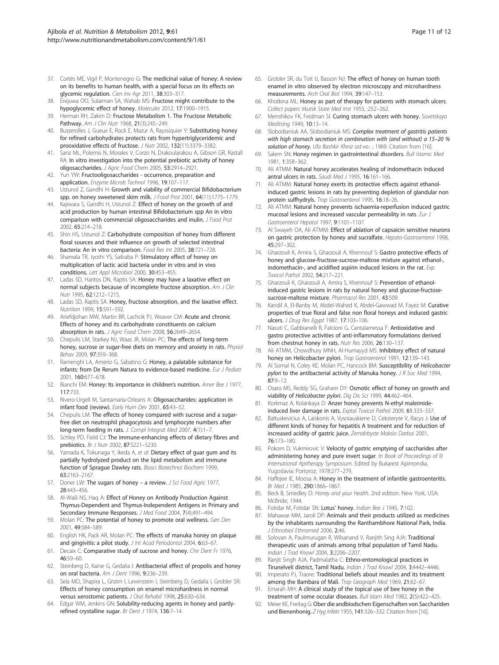- <span id="page-10-0"></span>37. Cortés ME, Vigil P, Montenegro G: The medicinal value of honey: A review on its benefits to human health, with a special focus on its effects on glycemic regulation. Cien Inv Agr 2011, 38:303–317.
- 38. Erejuwa OO, Sulaiman SA, Wahab MS: Fructose might contribute to the hypoglycemic effect of honey. Molecules 2012, 17:1900–1915.
- 39. Herman RH, Zakim D: Fructose Metabolism 1. The Fructose Metabolic Pathway. Am J Clin Nutr 1968, 21(3):245-249.
- 40. Busserolles J, Gueux E, Rock E, Mazur A, Rayssiquier Y: Substituting honey for refined carbohydrates protects rats from hypertriglyceridemic and prooxidative effects of fructose. J Nutr 2002, 132(11):3379–3382.
- 41. Sanz ML, Polemis N, Morales V, Corzo N, Drakoularakou A, Gibson GR, Rastall RA: In vitro investigation into the potential prebiotic activity of honey oligosaccharides. J Agric Food Chem 2005, 53:2914–2921.
- 42. Yun YW: Fructooligosaccharides occurrence, preparation and application. Enzyme Microb Technol 1996, 19:107–117.
- 43. Ustunol Z, Gandhi H: Growth and viability of commercial Bifidobacterium spp. on honey sweetened skim milk. J Food Prot 2001, 64(11):1775–1779.
- 44. Kajiwara S, Gandhi H, Ustunol Z: Effect of honey on the growth of and acid production by human intestinal Bifidobacterium spp An in vitro comparison with commercial oligosaccharides and inulin. J Food Prot 2002, 65:214–218.
- 45. Shin HS, Ustunol Z: Carbohydrate composition of honey from different floral sources and their influence on growth of selected intestinal bacteria: An in vitro comparison. Food Res Int 2005, 38:721–728.
- 46. Shamala TR, Jyothi YS, Saibaba P: Stimulatory effect of honey on multiplication of lactic acid bacteria under in vitro and in vivo conditions. Lett Appl Microbiol 2000, 30:453–455.
- 47. Ladas SD, Haritos DN, Raptis SA: Honey may have a laxative effect on normal subjects because of incomplete fructose absorption. Am J Clin Nutr 1995, 62:1212–1215.
- 48. Ladas SD, Raptis SA: Honey, fructose absorption, and the laxative effect. Nutrition 1999, 15:591–592.
- 49. Ariefdjohan MW, Martin BR, Lachcik PJ, Weaver CM: Acute and chronic Effects of honey and its carbohydrate constituents on calcium absorption in rats. J Agric Food Chem 2008, 56:2649–2654.
- 50. Chepulis LM, Starkey NJ, Waas JR, Molan PC: The effects of long-term honey, sucrose or sugar-free diets on memory and anxiety in rats. Physiol Behav 2009, 97:359–368.
- 51. Ramenghi LA, Amerio G, Sabatino G: Honey, a palatable substance for infants: from De Rerum Natura to evidence-based medicine. Eur J Pediatr 2001, 160:677–678.
- 52. Bianchi EM: Honey: Its importance in children's nutrition. Amer Bee J 1977, 117:733.
- 53. Rivero-Urgell M, Santamaria-Orleans A: Oligosaccharides: application in infant food (review). Early Hum Dev 2001, 65:43–52.
- 54. Chepulis LM: The effects of honey compared with sucrose and a sugarfree diet on neutrophil phagocytosis and lymphocyte numbers after long-term feeding in rats. J. Compl Integrat Med 2007, 4(1):1-7
- 55. Schley PD, Field CJ: The immune-enhancing effects of dietary fibres and prebiotics. Br J Nutr 2002, 87:S221–S230.
- 56. Yamada K, Tokunaga Y, Ikeda A, et al: Dietary effect of quar gum and its partially hydrolyzed product on the lipid metabolism and immune function of Sprague Dawley rats. Biosci Biotechnol Biochem 1999, 63:2163–2167.
- 57. Doner LW: The sugars of honey a review. J Sci Food Agric 1977, 28:443–456.
- 58. Al-Waili NS, Haq A: Effect of Honey on Antibody Production Against Thymus-Dependent and Thymus-Independent Antigens in Primary and Secondary Immune Responses. J Med Food 2004, 7(4):491–494.
- 59. Molan PC: The potential of honey to promote oral wellness. Gen Den 2001, 49:584–589.
- 60. English HK, Pack AR, Molan PC: The effects of manuka honey on plaque and gingivitis: a pilot study. J Int Acad Periodontol 2004, 6:63-67.
- 61. Decaix C: Comparative study of sucrose and honey. Chir Dent Fr 1976, 46:59–60.
- 62. Steinberg D, Kaine G, Gedalia I: Antibacterial effect of propolis and honey on oral bacteria. Am J Dent 1996, 9:236–239.
- 63. Sela MO, Shapira L, Grizim I, Lewinstein I, Steinberg D, Gedalia I, Grobler SR: Effects of honey consumption on enamel microhardness in normal versus xerostomic patients. J Oral Rehabil 1998, 25:630–634.
- 64. Edgar WM, Jenkins GN: Solubility-reducing agents in honey and partlyrefined crystalline sugar. Br Dent J 1974, 136:7–14.
- 65. Grobler SR, du Toit IJ, Basson NJ: The effect of honey on human tooth enamel in vitro observed by electron microscopy and microhardness measurements. Arch Oral Biol 1994, 39:147–153.
- Khotkina ML: Honey as part of therapy for patients with stomach ulcers. Collect papers Irkutsk State Med Inst 1955, :252–262.
- 67. Menshikov FK, Feidman SI: Curing stomach ulcers with honey. Sovetskaya Meditsing 1949, 10:13–14.
- 68. Slobodianiuk AA, Slobodianiuk MS: Complex treatment of gastritis patients with high stomach secretion in combination with (and without) a 15–20 % solution of honey, Ufa Bashkir Khniz izd-vo.: ; 1969. Citation from [16].
- 69. Salem SN: Honey regimen in gastrointestinal disorders. Bull Islamic Med 1981, 1:358–362.
- 70. Ali ATMM: Natural honey accelerates healing of indomethacin induced antral ulcers in rats. Saudi Med J 1995, 16:161-166.
- 71. Ali ATMM: Natural honey exerts its protective effects against ethanolinduced gastric lesions in rats by preventing depletion of glandular non protein sulfhydryls. Trop Gastroenterol 1995, 16:18–26.
- 72. Ali ATMM: Natural honey prevents ischaemia-reperfusion induced gastric mucosal lesions and increased vascular permeability in rats. Eur J Gastroenterol Hepatol 1997, 9:1101–1107.
- 73. Al Swayeh OA, Ali ATMM: Effect of ablation of capsaicin sensitive neurons on gastric protection by honey and sucralfate. Hepato-Gastroenterol 1998, 45:297–302.
- 74. Gharzouli K, Amira S, Gharzouli A, Khennouf S: Gastro protective effects of honey and glucose-fructose-sucrose-maltose mixture against ethanol-, indomethacin-, and acidified aspirin induced lesions in the rat. Exp Toxicol Pathol 2002, 54:217–221.
- 75. Gharzouli K, Gharzouli A, Amira S, Khennouf S: Prevention of ethanolinduced gastric lesions in rats by natural honey and glucose-fructosesucrose-maltose mixture. Pharmacol Res 2001, 43:509.
- 76. Kandil A, El-Banby M, Abdel-Wahed K, Abdel-Gawwad M, Fayez M: Curative properties of true floral and false non floral honeys and induced gastric ulcers. J Drug Res Egypt 1987, 17:103–106.
- 77. Nasuti C, Gabbianelli R, Falcioni G, Cantalamessa F: Antioxidative and gastro protective activities of anti-inflammatory formulations derived from chestnut honey in rats. Nutr Res 2006, 26:130–137.
- Ali ATMM, Chowdhury MNH, Al-Humayyd MS: Inhibitory effect of natural honey on Helicobacter pylori. Trop Gastroenterol 1991, 12:139-143.
- 79. Al Somal N, Coley KE, Molan PC, Hancock BM: Susceptibility of Helicobacter pylori to the antibacterial activity of Manuka honey. J R Soc Med 1994, 87:9–12.
- 80. Osato MS, Reddy SG, Graham DY: Osmotic effect of honey on growth and viability of Helicobacter pylori. Dig Dis Sci 1999, 44:462–464.
- 81. Korkmaz A, Kolankaya D: Anzer honey prevents N-ethyl maleimideinduced liver damage in rats. Exptal Toxicol Pathol 2009, 61:333–337.
- 82. Baltuskevicius A, Laiskonis A, Vysniauskiene D, Ceksteryte V, Racys J: Use of different kinds of honey for hepatitis A treatment and for reduction of increased acidity of gastric juice. Zemdirbyste Mokslo Darbai 2001, 76:173–180.
- 83. Pokorn D, Vukmirovic V: Velocity of gastric emptying of saccharides after administering honey and pure invert sugar. In Book of Proceedings of III International Apitherapy Symposium. Edited by Bukarest Apimondia. Yugoslavia: Portoroz; 1978:277–279.
- 84. Haffejee IE, Moosa A: Honey in the treatment of infantile gastroenteritis. Br Med J 1985, 290:1866–1867.
- 85. Beck B, Smedley D: Honey and your health. 2nd edition. New York, USA: McBride; 1944.
- 86. Fotidar M, Fotidar SN: Lotus' honey. Indian Bee J 1945, 7:102.
- 87. Mahawar MM, Jaroli DP: Animals and their products utilized as medicines by the inhabitants surrounding the Ranthambhore National Park, India. J Ethnobiol Ethnomed 2006, 2:46.
- 88. Solovan A, Paulmurugan R, Wilsanand V, Ranjith Sing AJA: Traditional therapeutic uses of animals among tribal population of Tamil Nadu. Indian J Trad Knowl 2004, 3:2206–2207.
- 89. Ranjit Singh AJA, Padmalatha C: Ethno-entomological practices in Tirunelveli district, Tamil Nadu. Indian J Trad Knowl 2004, 3:4442-4446.
- 90. Imperato PJ, Traore: Traditional beliefs about measles and its treatment among the Bambara of Mali. Trop Geograph Med 1969, 21:62-67
- 91. Emarah MH: A clinical study of the topical use of bee honey in the treatment of some occular diseases. Bull Islam Med 1982, 2(5):422–425.
- 92. Meier KE, Freitag G: Ober die andbiodschen Eigenschaften von Sacchariden und Bienenhonig. Z Hyg Infekt 1955, 141:326-332. Citation from [16].